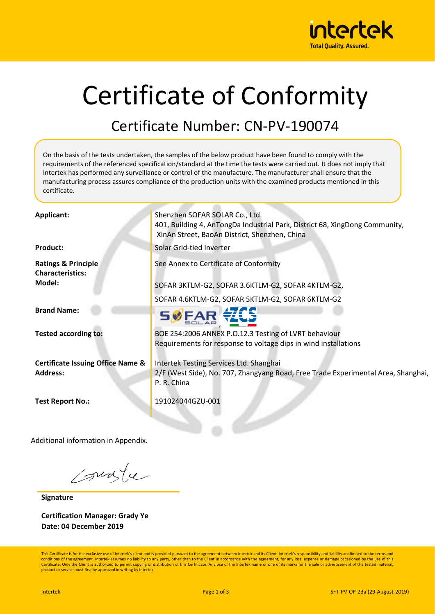

# Certificate of Conformity

#### Certificate Number: CN-PV-190074

On the basis of the tests undertaken, the samples of the below product have been found to comply with the requirements of the referenced specification/standard at the time the tests were carried out. It does not imply that Intertek has performed any surveillance or control of the manufacture. The manufacturer shall ensure that the manufacturing process assures compliance of the production units with the examined products mentioned in this certificate.

| Applicant:                                                | Shenzhen SOFAR SOLAR Co., Ltd.<br>401, Building 4, AnTongDa Industrial Park, District 68, XingDong Community,<br>XinAn Street, BaoAn District, Shenzhen, China |  |  |  |
|-----------------------------------------------------------|----------------------------------------------------------------------------------------------------------------------------------------------------------------|--|--|--|
| <b>Product:</b>                                           | Solar Grid-tied Inverter                                                                                                                                       |  |  |  |
| <b>Ratings &amp; Principle</b><br><b>Characteristics:</b> | See Annex to Certificate of Conformity                                                                                                                         |  |  |  |
| Model:                                                    | SOFAR 3KTLM-G2, SOFAR 3.6KTLM-G2, SOFAR 4KTLM-G2,                                                                                                              |  |  |  |
|                                                           | SOFAR 4.6KTLM-G2, SOFAR 5KTLM-G2, SOFAR 6KTLM-G2                                                                                                               |  |  |  |
| <b>Brand Name:</b>                                        |                                                                                                                                                                |  |  |  |
| <b>Tested according to:</b>                               | BOE 254:2006 ANNEX P.O.12.3 Testing of LVRT behaviour                                                                                                          |  |  |  |
|                                                           | Requirements for response to voltage dips in wind installations                                                                                                |  |  |  |
| <b>Certificate Issuing Office Name &amp;</b>              | Intertek Testing Services Ltd. Shanghai                                                                                                                        |  |  |  |
| <b>Address:</b>                                           | 2/F (West Side), No. 707, Zhangyang Road, Free Trade Experimental Area, Shanghai,<br>P. R. China                                                               |  |  |  |
| <b>Test Report No.:</b>                                   | 191024044GZU-001                                                                                                                                               |  |  |  |
|                                                           |                                                                                                                                                                |  |  |  |

Additional information in Appendix.

surfu

**Signature**

**Certification Manager: Grady Ye Date: 04 December 2019**

This Certificate is for the exclusive use of Intertek's client and is provided pursuant to the agreement between Intertek and its Client. Intertek's responsibility and liability are limited to the terms and conditions of the agreement. Intertek assumes no liability to any party, other than to the Client in accordance with the agreement, for any loss, expense or damage occasioned by the use of this Certificate. Only the Client is authorized to permit copying or distribution of this Certificate. Any use of the Intertek name or one of its marks for the sale or advertisement of the tested material product or service must first be approved in writing by Intertek.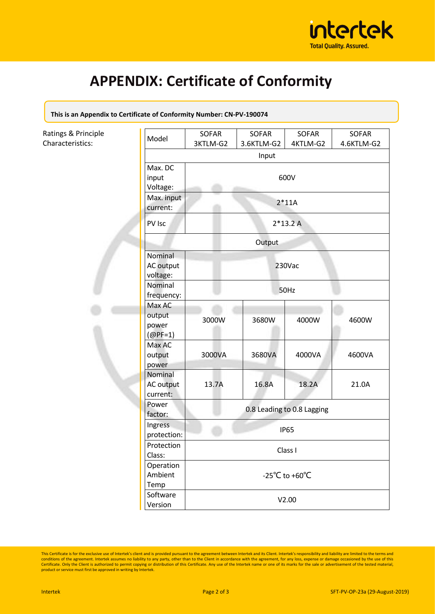

## **APPENDIX: Certificate of Conformity**

**This is an Appendix to Certificate of Conformity Number: CN-PV-190074**

| Ratings & Principle<br>Characteristics: | Model                                      | SOFAR<br>3KTLM-G2          | SOFAR<br>3.6KTLM-G2 | SOFAR<br>4KTLM-G2 | SOFAR<br>4.6KTLM-G2 |  |
|-----------------------------------------|--------------------------------------------|----------------------------|---------------------|-------------------|---------------------|--|
|                                         | Input                                      |                            |                     |                   |                     |  |
|                                         | Max. DC<br>input<br>Voltage:<br>Max. input | 600V<br>$2*11A$            |                     |                   |                     |  |
|                                         | current:<br>PV Isc                         | $2*13.2A$                  |                     |                   |                     |  |
|                                         |                                            | Output                     |                     |                   |                     |  |
|                                         | Nominal<br>AC output<br>voltage:           | 230Vac                     |                     |                   |                     |  |
|                                         | Nominal<br>frequency:                      | 50Hz                       |                     |                   |                     |  |
|                                         | Max AC<br>output<br>power<br>$(Q$ PF=1)    | 3000W                      | 3680W               | 4000W             | 4600W               |  |
|                                         | Max AC<br>output<br>power                  | 3000VA                     | 3680VA              | 4000VA            | 4600VA              |  |
|                                         | Nominal<br>AC output<br>current:           | 13.7A                      | 16.8A               | 18.2A             | 21.0A               |  |
|                                         | Power<br>factor:                           | 0.8 Leading to 0.8 Lagging |                     |                   |                     |  |
|                                         | Ingress<br>protection:                     | <b>IP65</b>                |                     |                   |                     |  |
|                                         | Protection<br>Class:                       | Class I                    |                     |                   |                     |  |
|                                         | Operation<br>Ambient<br>Temp               | -25°C to +60°C             |                     |                   |                     |  |
|                                         | Software<br>Version                        | V2.00                      |                     |                   |                     |  |

This Certificate is for the exclusive use of Intertek's client and is provided pursuant to the agreement between Intertek and its Client. Intertek's responsibility and liability are limited to the terms and conditions of t